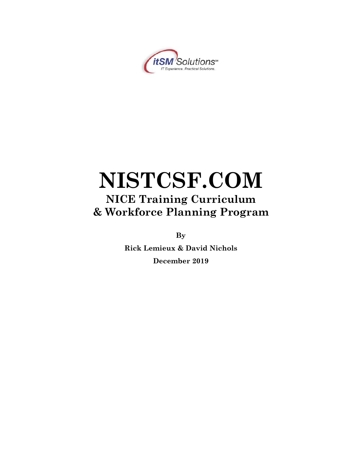

# **NISTCSF.COM NICE Training Curriculum & Workforce Planning Program**

**By**

**Rick Lemieux & David Nichols December 2019**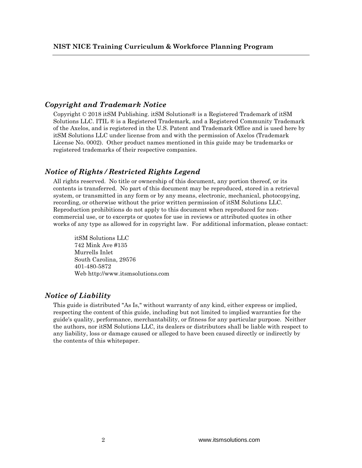#### *Copyright and Trademark Notice*

Copyright  $\odot$  2018 it SM Publishing. it SM Solutions  $\odot$  is a Registered Trademark of it SM Solutions LLC. ITIL ® is a Registered Trademark, and a Registered Community Trademark of the Axelos, and is registered in the U.S. Patent and Trademark Office and is used here by itSM Solutions LLC under license from and with the permission of Axelos (Trademark License No. 0002). Other product names mentioned in this guide may be trademarks or registered trademarks of their respective companies.

#### *Notice of Rights / Restricted Rights Legend*

All rights reserved. No title or ownership of this document, any portion thereof, or its contents is transferred. No part of this document may be reproduced, stored in a retrieval system, or transmitted in any form or by any means, electronic, mechanical, photocopying, recording, or otherwise without the prior written permission of itSM Solutions LLC. Reproduction prohibitions do not apply to this document when reproduced for noncommercial use, or to excerpts or quotes for use in reviews or attributed quotes in other works of any type as allowed for in copyright law. For additional information, please contact:

itSM Solutions LLC 742 Mink Ave #135 Murrells Inlet South Carolina, 29576 401-480-5872 Web http://www.itsmsolutions.com

#### *Notice of Liability*

This guide is distributed "As Is," without warranty of any kind, either express or implied, respecting the content of this guide, including but not limited to implied warranties for the guide's quality, performance, merchantability, or fitness for any particular purpose. Neither the authors, nor itSM Solutions LLC, its dealers or distributors shall be liable with respect to any liability, loss or damage caused or alleged to have been caused directly or indirectly by the contents of this whitepaper.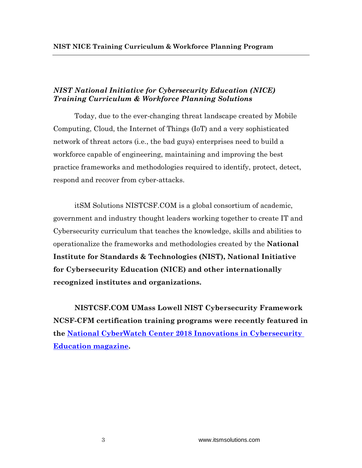## *NIST National Initiative for Cybersecurity Education (NICE) Training Curriculum & Workforce Planning Solutions*

Today, due to the ever-changing threat landscape created by Mobile Computing, Cloud, the Internet of Things (IoT) and a very sophisticated network of threat actors (i.e., the bad guys) enterprises need to build a workforce capable of engineering, maintaining and improving the best practice frameworks and methodologies required to identify, protect, detect, respond and recover from cyber-attacks.

itSM Solutions NISTCSF.COM is a global consortium of academic, government and industry thought leaders working together to create IT and Cybersecurity curriculum that teaches the knowledge, skills and abilities to operationalize the frameworks and methodologies created by the **National Institute for Standards & Technologies (NIST), National Initiative for Cybersecurity Education (NICE) and other internationally recognized institutes and organizations.**

**NISTCSF.COM UMass Lowell NIST Cybersecurity Framework NCSF-CFM certification training programs were recently featured in the [National CyberWatch Center 2018 Innovations in Cybersecurity](https://nationalcyberwatchcenter.wildapricot.org/resources/Public%20Resourses/Innovations%20in%20Cybersecurity%20Education/NCC%20-%202018%20Innovations%20in%20Cybersecurity%20Education_WEB.pdf)  [Education magazine.](https://nationalcyberwatchcenter.wildapricot.org/resources/Public%20Resourses/Innovations%20in%20Cybersecurity%20Education/NCC%20-%202018%20Innovations%20in%20Cybersecurity%20Education_WEB.pdf)**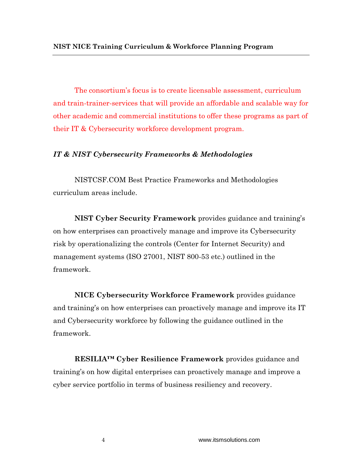The consortium's focus is to create licensable assessment, curriculum and train-trainer-services that will provide an affordable and scalable way for other academic and commercial institutions to offer these programs as part of their IT & Cybersecurity workforce development program.

#### *IT & NIST Cybersecurity Frameworks & Methodologies*

NISTCSF.COM Best Practice Frameworks and Methodologies curriculum areas include.

**NIST Cyber Security Framework** provides guidance and training's on how enterprises can proactively manage and improve its Cybersecurity risk by operationalizing the controls (Center for Internet Security) and management systems (ISO 27001, NIST 800-53 etc.) outlined in the framework.

**NICE Cybersecurity Workforce Framework** provides guidance and training's on how enterprises can proactively manage and improve its IT and Cybersecurity workforce by following the guidance outlined in the framework.

**RESILIA™ Cyber Resilience Framework** provides guidance and training's on how digital enterprises can proactively manage and improve a cyber service portfolio in terms of business resiliency and recovery.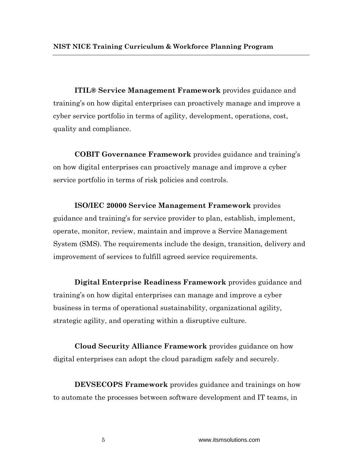**ITIL® Service Management Framework** provides guidance and training's on how digital enterprises can proactively manage and improve a cyber service portfolio in terms of agility, development, operations, cost, quality and compliance.

**COBIT Governance Framework** provides guidance and training's on how digital enterprises can proactively manage and improve a cyber service portfolio in terms of risk policies and controls.

**ISO/IEC 20000 Service Management Framework** provides guidance and training's for service provider to plan, establish, implement, operate, monitor, review, maintain and improve a Service Management System (SMS). The requirements include the design, transition, delivery and improvement of services to fulfill agreed service requirements.

**Digital Enterprise Readiness Framework** provides guidance and training's on how digital enterprises can manage and improve a cyber business in terms of operational sustainability, organizational agility, strategic agility, and operating within a disruptive culture.

**Cloud Security Alliance Framework** provides guidance on how digital enterprises can adopt the cloud paradigm safely and securely.

**DEVSECOPS Framework** provides guidance and trainings on how to automate the processes between software development and IT teams, in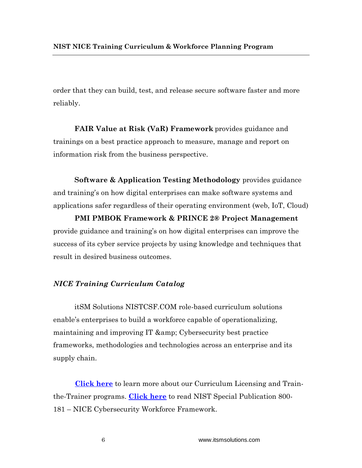order that they can build, test, and release secure software faster and more reliably.

**FAIR Value at Risk (VaR) Framework** provides guidance and trainings on a best practice approach to measure, manage and report on information risk from the business perspective.

**Software & Application Testing Methodology** provides guidance and training's on how digital enterprises can make software systems and applications safer regardless of their operating environment (web, IoT, Cloud)

**PMI PMBOK Framework & PRINCE 2® Project Management**  provide guidance and training's on how digital enterprises can improve the success of its cyber service projects by using knowledge and techniques that result in desired business outcomes.

## *NICE Training Curriculum Catalog*

itSM Solutions NISTCSF.COM role-based curriculum solutions enable's enterprises to build a workforce capable of operationalizing, maintaining and improving IT & amp; Cybersecurity best practice frameworks, methodologies and technologies across an enterprise and its supply chain.

 **[Click here](https://nistcsf.com/nistcsf-com-licensing-partner/)** to learn more about our Curriculum Licensing and Trainthe-Trainer programs. **[Click here](https://nistcsf.com/wp-content/uploads/2019/01/NIST.SP_.800-181-1.pdf)** to read NIST Special Publication 800- 181 – NICE Cybersecurity Workforce Framework.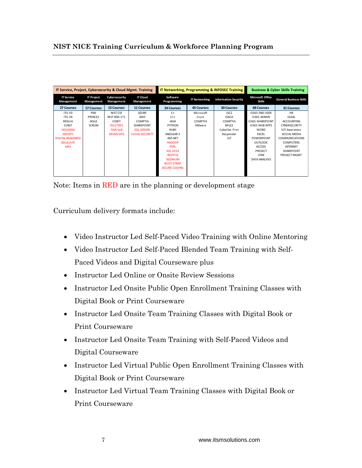| IT Service, Project, Cybersecurity & Cloud Mgmt. Training |                                 |                             | IT Networking, Programming & INFOSEC Training |                         | <b>Business &amp; Cyber Skills Training</b> |                             |                                          |                                |
|-----------------------------------------------------------|---------------------------------|-----------------------------|-----------------------------------------------|-------------------------|---------------------------------------------|-----------------------------|------------------------------------------|--------------------------------|
| <b>IT Service</b><br>Management                           | <b>IT Project</b><br>Management | Cybersecurity<br>Management | <b>IT Cloud</b><br>Management                 | Software<br>Programming | <b>IT Networking</b>                        | <b>Information Security</b> | <b>Microsoft Office</b><br><b>Skills</b> | <b>General Business Skills</b> |
| 27 Courses                                                | <b>17 Courses</b>               | <b>15 Courses</b>           | <b>11 Courses</b>                             | 24 Courses              | <b>45 Courses</b>                           | <b>30 Courses</b>           | <b>68 Courses</b>                        | <b>31 Courses</b>              |
| ITIL V3                                                   | PMI                             | NIST CSF                    | <b>AZURE</b>                                  | $C+$                    | Microsoft                                   | ISC <sub>2</sub>            | O365 END USER                            | <b>HR</b>                      |
| <b>ITILV4</b>                                             | PRINCE2                         | NIST 800-171                | AWS                                           | $C++$                   | Cisco                                       | <b>ISACA</b>                | 0365 ADMIN                               | LEGAL                          |
| RESILIA                                                   | AGILE                           | COBIT                       | COMPTIA                                       | <b>JAVA</b>             | <b>COMPTIA</b>                              | COMPTIA                     | <b>0365 SHAREPOINT</b>                   | <b>ACCOUNTING</b>              |
| COBIT                                                     | SCRUM                           | ISO27001                    | SHARFPOINT                                    | PYTHON                  | <b>VMware</b>                               | MILE <sub>2</sub>           | O365 WEB APPS                            | <b>CYBERSECURITY</b>           |
| ISO20000                                                  |                                 | <b>FAIR VaR</b>             | <b>SOL SERVER</b>                             | <b>RUBY</b>             |                                             | CyberSec First              | <b>WORD</b>                              | <b>IOT Awareness</b>           |
| <b>DEVOPS</b>                                             |                                 | <b>DEVSECOPS</b>            | <b>CLOUD SECURITY</b>                         | ANGULAR 5               |                                             | Responder                   | <b>EXCEL</b>                             | SOCIAL MEDIA                   |
| <b>DIGITAL READINESS</b>                                  |                                 |                             |                                               | ASP.NET                 |                                             | IoT                         | POWERPOINT                               | <b>COMMUNICATIONS</b>          |
| <b>AGILEshift</b>                                         |                                 |                             |                                               | <b>HADOOP</b>           |                                             |                             | <b>OUTLOOK</b>                           | <b>COMPUTERS</b>               |
| <b>SAFe</b>                                               |                                 |                             |                                               | <b>PERL</b>             |                                             |                             | <b>ACCESS</b>                            | <b>INTERNET</b>                |
|                                                           |                                 |                             |                                               | <b>SOL 2014</b>         |                                             |                             | PROJECT                                  | <b>SHARFPOINT</b>              |
|                                                           |                                 |                             |                                               | <b>RESTEUL</b>          |                                             |                             | <b>IYNX</b>                              | PROJECT MGMT.                  |
|                                                           |                                 |                             |                                               | <b>SELENIUM</b>         |                                             |                             | DATA ANALYSIS                            |                                |
|                                                           |                                 |                             |                                               | <b>BOOT STRAP</b>       |                                             |                             |                                          |                                |
|                                                           |                                 |                             |                                               | <b>SECURE CODING</b>    |                                             |                             |                                          |                                |
|                                                           |                                 |                             |                                               |                         |                                             |                             |                                          |                                |

Note: Items in RED are in the planning or development stage

Curriculum delivery formats include:

- Video Instructor Led Self-Paced Video Training with Online Mentoring
- Video Instructor Led Self-Paced Blended Team Training with Self-Paced Videos and Digital Courseware plus
- Instructor Led Online or Onsite Review Sessions
- Instructor Led Onsite Public Open Enrollment Training Classes with Digital Book or Print Courseware
- Instructor Led Onsite Team Training Classes with Digital Book or Print Courseware
- Instructor Led Onsite Team Training with Self-Paced Videos and Digital Courseware
- Instructor Led Virtual Public Open Enrollment Training Classes with Digital Book or Print Courseware
- Instructor Led Virtual Team Training Classes with Digital Book or Print Courseware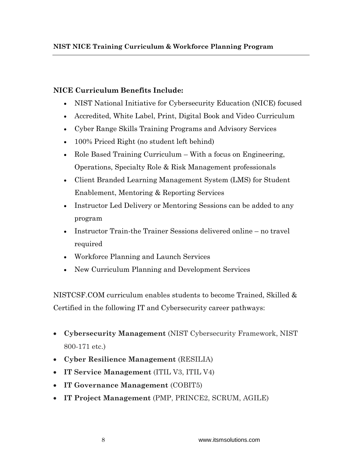## **NICE Curriculum Benefits Include:**

- NIST National Initiative for Cybersecurity Education (NICE) focused
- Accredited, White Label, Print, Digital Book and Video Curriculum
- Cyber Range Skills Training Programs and Advisory Services
- 100% Priced Right (no student left behind)
- Role Based Training Curriculum With a focus on Engineering, Operations, Specialty Role & Risk Management professionals
- Client Branded Learning Management System (LMS) for Student Enablement, Mentoring & Reporting Services
- Instructor Led Delivery or Mentoring Sessions can be added to any program
- Instructor Train-the Trainer Sessions delivered online no travel required
- Workforce Planning and Launch Services
- New Curriculum Planning and Development Services

NISTCSF.COM curriculum enables students to become Trained, Skilled & Certified in the following IT and Cybersecurity career pathways:

- **Cybersecurity Management** (NIST Cybersecurity Framework, NIST 800-171 etc.)
- **Cyber Resilience Management** (RESILIA)
- **IT Service Management** (ITIL V3, ITIL V4)
- **IT Governance Management** (COBIT5)
- **IT Project Management** (PMP, PRINCE2, SCRUM, AGILE)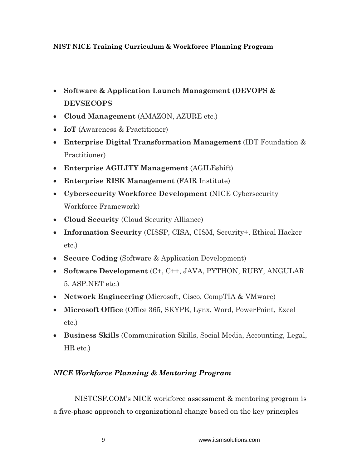- **Software & Application Launch Management (DEVOPS & DEVSECOPS**
- **Cloud Management** (AMAZON, AZURE etc.)
- **IoT** (Awareness & Practitioner)
- **Enterprise Digital Transformation Management** (IDT Foundation & Practitioner)
- **Enterprise AGILITY Management** (AGILEshift)
- **Enterprise RISK Management** (FAIR Institute)
- **Cybersecurity Workforce Development** (NICE Cybersecurity Workforce Framework)
- **Cloud Security** (Cloud Security Alliance)
- **Information Security** (CISSP, CISA, CISM, Security+, Ethical Hacker etc.)
- **Secure Coding** (Software & Application Development)
- **Software Development** (C+, C++, JAVA, PYTHON, RUBY, ANGULAR 5, ASP.NET etc.)
- **Network Engineering** (Microsoft, Cisco, CompTIA & VMware)
- **Microsoft Office** (Office 365, SKYPE, Lynx, Word, PowerPoint, Excel etc.)
- **Business Skills** (Communication Skills, Social Media, Accounting, Legal, HR etc.)

# *NICE Workforce Planning & Mentoring Program*

NISTCSF.COM's NICE workforce assessment & mentoring program is a five-phase approach to organizational change based on the key principles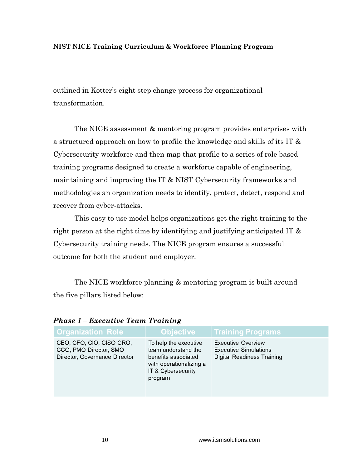outlined in Kotter's eight step change process for organizational transformation.

The NICE assessment & mentoring program provides enterprises with a structured approach on how to profile the knowledge and skills of its IT & Cybersecurity workforce and then map that profile to a series of role based training programs designed to create a workforce capable of engineering, maintaining and improving the IT & NIST Cybersecurity frameworks and methodologies an organization needs to identify, protect, detect, respond and recover from cyber-attacks.

This easy to use model helps organizations get the right training to the right person at the right time by identifying and justifying anticipated IT & Cybersecurity training needs. The NICE program ensures a successful outcome for both the student and employer.

The NICE workforce planning & mentoring program is built around the five pillars listed below:

| <b>Organization Role</b>                                                            | <b>Objective</b>                                                                                                                | <b>Training Programs</b>                                                                |
|-------------------------------------------------------------------------------------|---------------------------------------------------------------------------------------------------------------------------------|-----------------------------------------------------------------------------------------|
| CEO, CFO, CIO, CISO CRO,<br>CCO, PMO Director, SMO<br>Director, Governance Director | To help the executive<br>team understand the<br>benefits associated<br>with operationalizing a<br>IT & Cybersecurity<br>program | <b>Executive Overview</b><br><b>Executive Simulations</b><br>Digital Readiness Training |

*Phase 1 – Executive Team Training*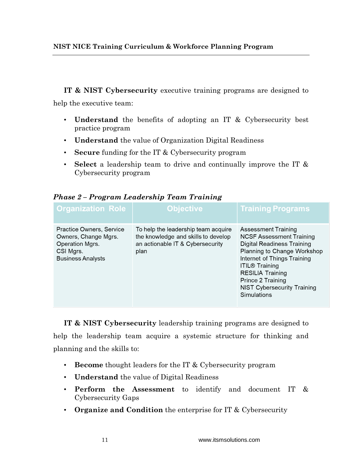**IT & NIST Cybersecurity** executive training programs are designed to

help the executive team:

- **Understand** the benefits of adopting an IT & Cybersecurity best practice program
- **Understand** the value of Organization Digital Readiness
- **Secure** funding for the IT & Cybersecurity program
- **Select** a leadership team to drive and continually improve the IT & Cybersecurity program

|  | Phase 2 – Program Leadership Team Training |
|--|--------------------------------------------|
|--|--------------------------------------------|

| <b>Organization Role</b>                                                                                     | Objective <sup>®</sup>                                                                                                 | <b>Training Programs</b>                                                                                                                                                                                                                                                                       |
|--------------------------------------------------------------------------------------------------------------|------------------------------------------------------------------------------------------------------------------------|------------------------------------------------------------------------------------------------------------------------------------------------------------------------------------------------------------------------------------------------------------------------------------------------|
| Practice Owners, Service<br>Owners, Change Mgrs.<br>Operation Mgrs.<br>CSI Mgrs.<br><b>Business Analysts</b> | To help the leadership team acquire<br>the knowledge and skills to develop<br>an actionable IT & Cybersecurity<br>plan | <b>Assessment Training</b><br><b>NCSF Assessment Training</b><br><b>Digital Readiness Training</b><br>Planning to Change Workshop<br>Internet of Things Training<br><b>ITIL® Training</b><br><b>RESILIA Training</b><br>Prince 2 Training<br><b>NIST Cybersecurity Training</b><br>Simulations |

**IT & NIST Cybersecurity** leadership training programs are designed to help the leadership team acquire a systemic structure for thinking and planning and the skills to:

- **Become** thought leaders for the IT & Cybersecurity program
- **Understand** the value of Digital Readiness
- **Perform the Assessment** to identify and document IT & Cybersecurity Gaps
- **Organize and Condition** the enterprise for IT & Cybersecurity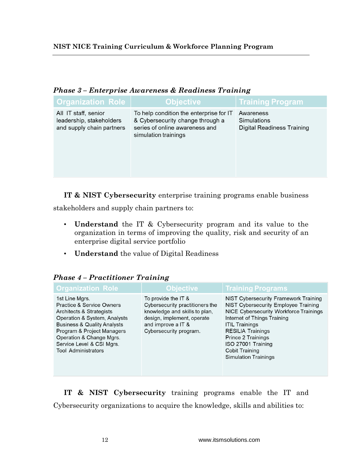| ι πωσι σ                                                                      |                                                                                                                                       |                                                               |  |  |
|-------------------------------------------------------------------------------|---------------------------------------------------------------------------------------------------------------------------------------|---------------------------------------------------------------|--|--|
| <b>Organization Role</b>                                                      | <b>Objective</b>                                                                                                                      | <b>Training Program</b>                                       |  |  |
| All IT staff, senior<br>leadership, stakeholders<br>and supply chain partners | To help condition the enterprise for IT<br>& Cybersecurity change through a<br>series of online awareness and<br>simulation trainings | Awareness<br>Simulations<br><b>Digital Readiness Training</b> |  |  |

## *Phase 3 – Enterprise Awareness & Readiness Training*

**IT & NIST Cybersecurity** enterprise training programs enable business

stakeholders and supply chain partners to:

- **Understand** the IT & Cybersecurity program and its value to the organization in terms of improving the quality, risk and security of an enterprise digital service portfolio
- **Understand** the value of Digital Readiness

| <b>Organization Role</b>                                                                                                                                                                                                                                               | <b>Objective</b>                                                                                                                                                      | <b>Training Programs</b>                                                                                                                                                                                                                                                                                               |
|------------------------------------------------------------------------------------------------------------------------------------------------------------------------------------------------------------------------------------------------------------------------|-----------------------------------------------------------------------------------------------------------------------------------------------------------------------|------------------------------------------------------------------------------------------------------------------------------------------------------------------------------------------------------------------------------------------------------------------------------------------------------------------------|
| 1st Line Mgrs.<br>Practice & Service Owners<br>Architects & Strategists<br>Operation & System, Analysts<br><b>Business &amp; Quality Analysts</b><br>Program & Project Managers<br>Operation & Change Mgrs.<br>Service Level & CSI Mgrs.<br><b>Tool Administrators</b> | To provide the IT &<br>Cybersecurity practitioners the<br>knowledge and skills to plan,<br>design, implement, operate<br>and improve a IT &<br>Cybersecurity program. | <b>NIST Cybersecurity Framework Training</b><br>NIST Cybersecurity Employee Training<br>NICE Cybersecurity Workforce Trainings<br>Internet of Things Training<br><b>ITIL Trainings</b><br><b>RESILIA Trainings</b><br>Prince 2 Trainings<br>ISO 27001 Training<br><b>Cobit Training</b><br><b>Simulation Trainings</b> |

## *Phase 4 – Practitioner Training*

**IT & NIST Cybersecurity** training programs enable the IT and Cybersecurity organizations to acquire the knowledge, skills and abilities to: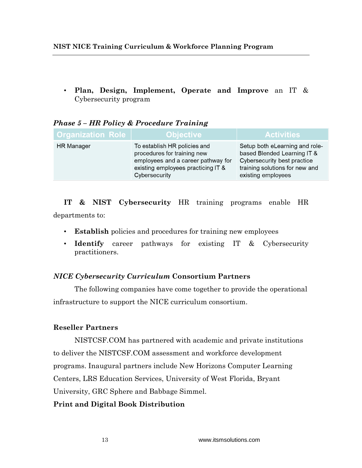• **Plan, Design, Implement, Operate and Improve** an IT & Cybersecurity program

| <b>Organization Role</b> | <b>Objective</b>                                                                                                                                         | <b>Activities</b>                                                                                                                                    |
|--------------------------|----------------------------------------------------------------------------------------------------------------------------------------------------------|------------------------------------------------------------------------------------------------------------------------------------------------------|
| <b>HR</b> Manager        | To establish HR policies and<br>procedures for training new<br>employees and a career pathway for<br>existing employees practicing IT &<br>Cybersecurity | Setup both eLearning and role-<br>based Blended Learning IT &<br>Cybersecurity best practice<br>training solutions for new and<br>existing employees |

## *Phase 5 – HR Policy & Procedure Training*

**IT & NIST Cybersecurity** HR training programs enable HR departments to:

- **Establish** policies and procedures for training new employees
- **Identify** career pathways for existing IT & Cybersecurity practitioners.

## *NICE Cybersecurity Curriculum* **Consortium Partners**

The following companies have come together to provide the operational infrastructure to support the NICE curriculum consortium.

## **Reseller Partners**

NISTCSF.COM has partnered with academic and private institutions to deliver the NISTCSF.COM assessment and workforce development programs. Inaugural partners include New Horizons Computer Learning Centers, LRS Education Services, University of West Florida, Bryant University, GRC Sphere and Babbage Simmel.

## **Print and Digital Book Distribution**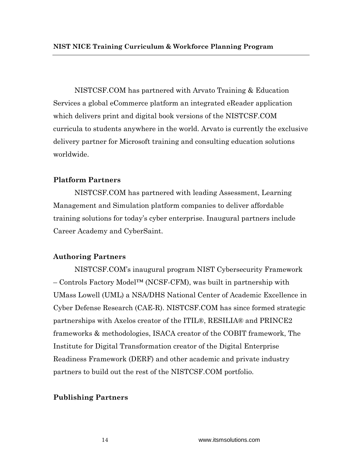NISTCSF.COM has partnered with Arvato Training & Education Services a global eCommerce platform an integrated eReader application which delivers print and digital book versions of the NISTCSF.COM curricula to students anywhere in the world. Arvato is currently the exclusive delivery partner for Microsoft training and consulting education solutions worldwide.

### **Platform Partners**

NISTCSF.COM has partnered with leading Assessment, Learning Management and Simulation platform companies to deliver affordable training solutions for today's cyber enterprise. Inaugural partners include Career Academy and CyberSaint.

#### **Authoring Partners**

NISTCSF.COM's inaugural program NIST Cybersecurity Framework – Controls Factory Model™ (NCSF-CFM), was built in partnership with UMass Lowell (UML) a NSA/DHS National Center of Academic Excellence in Cyber Defense Research (CAE-R). NISTCSF.COM has since formed strategic partnerships with Axelos creator of the ITIL®, RESILIA® and PRINCE2 frameworks & methodologies, ISACA creator of the COBIT framework, The Institute for Digital Transformation creator of the Digital Enterprise Readiness Framework (DERF) and other academic and private industry partners to build out the rest of the NISTCSF.COM portfolio.

#### **Publishing Partners**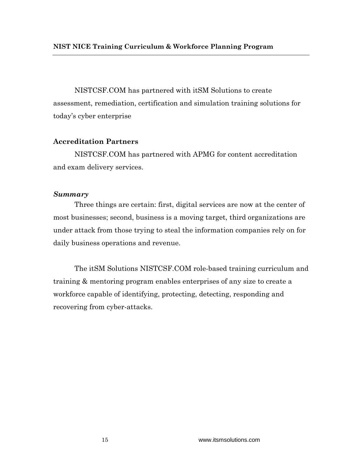NISTCSF.COM has partnered with itSM Solutions to create assessment, remediation, certification and simulation training solutions for today's cyber enterprise

## **Accreditation Partners**

NISTCSF.COM has partnered with APMG for content accreditation and exam delivery services.

## *Summary*

Three things are certain: first, digital services are now at the center of most businesses; second, business is a moving target, third organizations are under attack from those trying to steal the information companies rely on for daily business operations and revenue.

The itSM Solutions NISTCSF.COM role-based training curriculum and training & mentoring program enables enterprises of any size to create a workforce capable of identifying, protecting, detecting, responding and recovering from cyber-attacks.